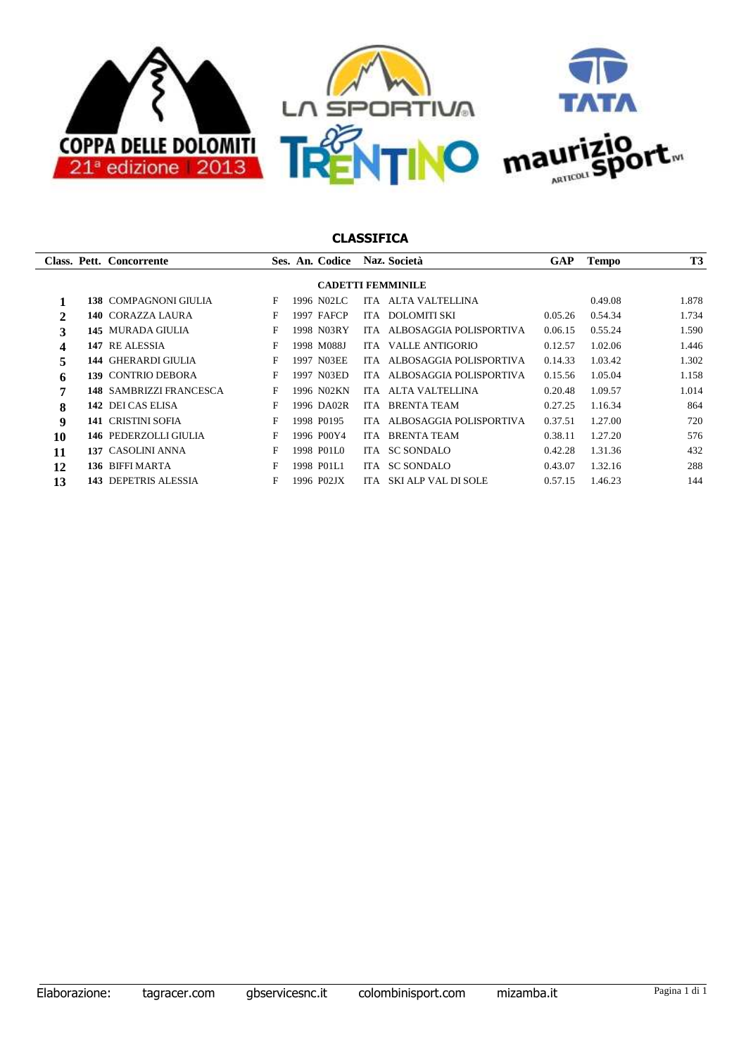

|                          |     | Class. Pett. Concorrente       |   |  | Ses. An. Codice |      | Naz. Società            | <b>GAP</b> | <b>Tempo</b> | <b>T3</b> |  |
|--------------------------|-----|--------------------------------|---|--|-----------------|------|-------------------------|------------|--------------|-----------|--|
| <b>CADETTI FEMMINILE</b> |     |                                |   |  |                 |      |                         |            |              |           |  |
|                          |     | <b>138 COMPAGNONI GIULIA</b>   | F |  | 1996 N02LC      |      | ITA ALTA VALTELLINA     |            | 0.49.08      | 1.878     |  |
| $\mathbf{2}$             |     | 140 CORAZZA LAURA              | F |  | 1997 FAFCP      | ITA. | DOLOMITI SKI            | 0.05.26    | 0.54.34      | 1.734     |  |
| 3                        |     | 145 MURADA GIULIA              | F |  | 1998 N03RY      | ITA. | ALBOSAGGIA POLISPORTIVA | 0.06.15    | 0.55.24      | 1.590     |  |
| 4                        |     | 147 RE ALESSIA                 | F |  | 1998 M088J      | ITA. | VALLE ANTIGORIO         | 0.12.57    | 1.02.06      | 1.446     |  |
| 5                        |     | <b>144 GHERARDI GIULIA</b>     | F |  | 1997 N03EE      | ITA. | ALBOSAGGIA POLISPORTIVA | 0.14.33    | 1.03.42      | 1.302     |  |
| 6                        |     | 139 CONTRIO DEBORA             | F |  | 1997 N03ED      | ITA. | ALBOSAGGIA POLISPORTIVA | 0.15.56    | 1.05.04      | 1.158     |  |
| 7                        |     | <b>148 SAMBRIZZI FRANCESCA</b> | F |  | 1996 N02KN      | IT A | ALTA VALTELLINA         | 0.20.48    | 1.09.57      | 1.014     |  |
| 8                        |     | 142 DEI CAS ELISA              | F |  | 1996 DA02R      | ITA. | <b>BRENTA TEAM</b>      | 0.27.25    | 1.16.34      | 864       |  |
| $\boldsymbol{9}$         |     | <b>141 CRISTINI SOFIA</b>      | F |  | 1998 P0195      | ITA. | ALBOSAGGIA POLISPORTIVA | 0.37.51    | 1.27.00      | 720       |  |
| 10                       |     | <b>146 PEDERZOLLI GIULIA</b>   | F |  | 1996 P00Y4      | ITA. | <b>BRENTA TEAM</b>      | 0.38.11    | 1.27.20      | 576       |  |
| 11                       |     | 137 CASOLINI ANNA              | F |  | 1998 P01L0      | ITA. | SC SONDALO              | 0.42.28    | 1.31.36      | 432       |  |
| 12                       |     | 136 BIFFI MARTA                | F |  | 1998 P01L1      | ITA. | <b>SC SONDALO</b>       | 0.43.07    | 1.32.16      | 288       |  |
| 13                       | 143 | <b>DEPETRIS ALESSIA</b>        | F |  | 1996 P02JX      | ITA. | SKI ALP VAL DI SOLE     | 0.57.15    | 1.46.23      | 144       |  |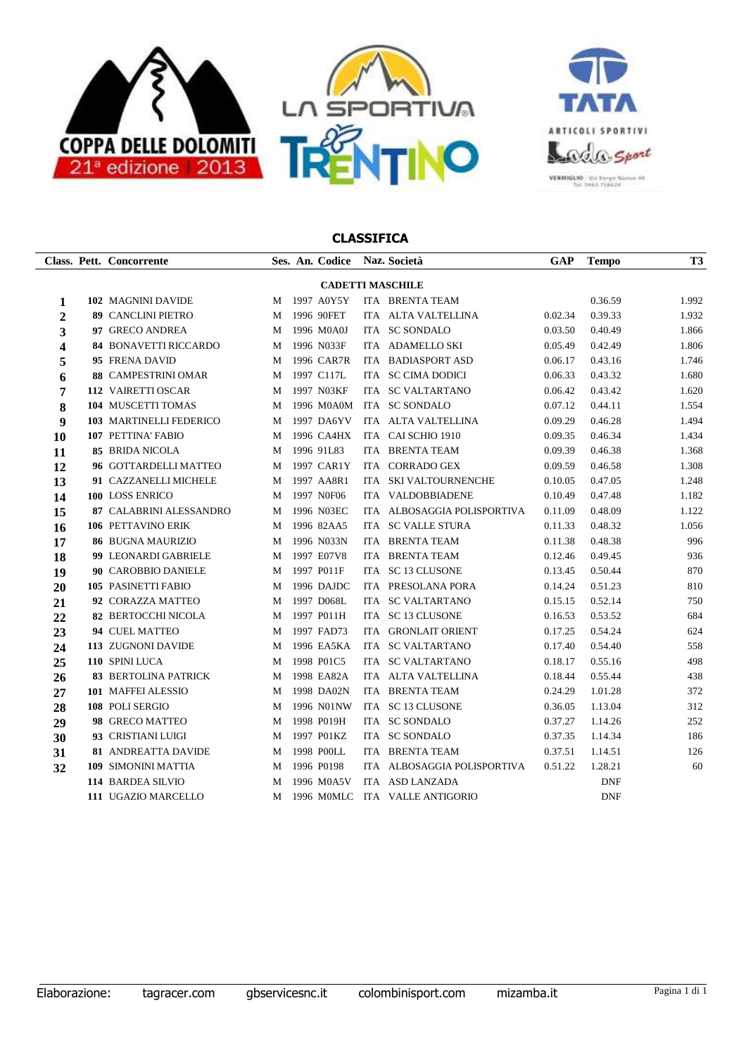



|                | Class. Pett. Concorrente     |   | Ses. An. Codice Naz. Società |                             | GAP     | <b>Tempo</b> | <b>T3</b> |
|----------------|------------------------------|---|------------------------------|-----------------------------|---------|--------------|-----------|
|                |                              |   | <b>CADETTI MASCHILE</b>      |                             |         |              |           |
| 1              | 102 MAGNINI DAVIDE           | М | 1997 A0Y5Y                   | ITA BRENTA TEAM             |         | 0.36.59      | 1.992     |
| $\overline{2}$ | <b>89 CANCLINI PIETRO</b>    | M | 1996 90FET                   | ITA ALTA VALTELLINA         | 0.02.34 | 0.39.33      | 1.932     |
| 3              | 97 GRECO ANDREA              | М | 1996 M0A0J                   | ITA SC SONDALO              | 0.03.50 | 0.40.49      | 1.866     |
| 4              | <b>84 BONAVETTI RICCARDO</b> | М | 1996 N033F                   | ITA ADAMELLO SKI            | 0.05.49 | 0.42.49      | 1.806     |
| 5              | 95 FRENA DAVID               | М | 1996 CAR7R                   | ITA BADIASPORT ASD          | 0.06.17 | 0.43.16      | 1.746     |
| 6              | 88 CAMPESTRINI OMAR          | M | 1997 C117L                   | ITA SC CIMA DODICI          | 0.06.33 | 0.43.32      | 1.680     |
| 7              | 112 VAIRETTI OSCAR           | M | 1997 N03KF                   | ITA SC VALTARTANO           | 0.06.42 | 0.43.42      | 1.620     |
| 8              | 104 MUSCETTI TOMAS           | М | 1996 M0A0M                   | ITA SC SONDALO              | 0.07.12 | 0.44.11      | 1.554     |
| 9              | 103 MARTINELLI FEDERICO      | М | 1997 DA6YV                   | ITA ALTA VALTELLINA         | 0.09.29 | 0.46.28      | 1.494     |
| 10             | 107 PETTINA' FABIO           | М | 1996 CA4HX                   | ITA CAI SCHIO 1910          | 0.09.35 | 0.46.34      | 1.434     |
| 11             | <b>85 BRIDA NICOLA</b>       | М | 1996 91L83                   | ITA BRENTA TEAM             | 0.09.39 | 0.46.38      | 1.368     |
| 12             | 96 GOTTARDELLI MATTEO        | М | 1997 CAR1Y                   | ITA CORRADO GEX             | 0.09.59 | 0.46.58      | 1.308     |
| 13             | 91 CAZZANELLI MICHELE        | М | 1997 AA8R1                   | ITA SKI VALTOURNENCHE       | 0.10.05 | 0.47.05      | 1.248     |
| 14             | 100 LOSS ENRICO              | M | 1997 NOF06                   | ITA VALDOBBIADENE           | 0.10.49 | 0.47.48      | 1.182     |
| 15             | 87 CALABRINI ALESSANDRO      | М | 1996 N03EC                   | ITA ALBOSAGGIA POLISPORTIVA | 0.11.09 | 0.48.09      | 1.122     |
| 16             | 106 PETTAVINO ERIK           | М | 1996 82AA5                   | ITA SC VALLE STURA          | 0.11.33 | 0.48.32      | 1.056     |
| 17             | <b>86 BUGNA MAURIZIO</b>     | M | 1996 N033N                   | ITA BRENTA TEAM             | 0.11.38 | 0.48.38      | 996       |
| 18             | 99 LEONARDI GABRIELE         | M | 1997 E07V8                   | ITA BRENTA TEAM             | 0.12.46 | 0.49.45      | 936       |
| 19             | 90 CAROBBIO DANIELE          | M | 1997 P011F                   | ITA SC 13 CLUSONE           | 0.13.45 | 0.50.44      | 870       |
| 20             | <b>105 PASINETTI FABIO</b>   | M | 1996 DAJDC                   | ITA PRESOLANA PORA          | 0.14.24 | 0.51.23      | 810       |
| 21             | 92 CORAZZA MATTEO            | M | 1997 D068L                   | ITA SC VALTARTANO           | 0.15.15 | 0.52.14      | 750       |
| 22             | <b>82 BERTOCCHI NICOLA</b>   | М | 1997 P011H                   | ITA SC 13 CLUSONE           | 0.16.53 | 0.53.52      | 684       |
| 23             | 94 CUEL MATTEO               | M | 1997 FAD73                   | ITA GRONLAIT ORIENT         | 0.17.25 | 0.54.24      | 624       |
| 24             | 113 ZUGNONI DAVIDE           | M | 1996 EA5KA                   | ITA SC VALTARTANO           | 0.17.40 | 0.54.40      | 558       |
| 25             | 110 SPINI LUCA               | М | 1998 P01C5                   | ITA SC VALTARTANO           | 0.18.17 | 0.55.16      | 498       |
| 26             | <b>83 BERTOLINA PATRICK</b>  | М | 1998 EA82A                   | ITA ALTA VALTELLINA         | 0.18.44 | 0.55.44      | 438       |
| 27             | 101 MAFFEI ALESSIO           | М | 1998 DA02N                   | ITA BRENTA TEAM             | 0.24.29 | 1.01.28      | 372       |
| 28             | 108 POLI SERGIO              | М | 1996 N01NW                   | ITA SC 13 CLUSONE           | 0.36.05 | 1.13.04      | 312       |
| 29             | 98 GRECO MATTEO              | М | 1998 P019H                   | ITA SC SONDALO              | 0.37.27 | 1.14.26      | 252       |
| 30             | 93 CRISTIANI LUIGI           | М | 1997 P01KZ                   | ITA SC SONDALO              | 0.37.35 | 1.14.34      | 186       |
| 31             | 81 ANDREATTA DAVIDE          | М | 1998 P00LL                   | ITA BRENTA TEAM             | 0.37.51 | 1.14.51      | 126       |
| 32             | 109 SIMONINI MATTIA          | M | 1996 P0198                   | ITA ALBOSAGGIA POLISPORTIVA | 0.51.22 | 1.28.21      | 60        |
|                | 114 BARDEA SILVIO            | M | 1996 M0A5V                   | ITA ASD LANZADA             |         | <b>DNF</b>   |           |
|                | 111 UGAZIO MARCELLO          | M | 1996 M0MLC                   | ITA VALLE ANTIGORIO         |         | DNF          |           |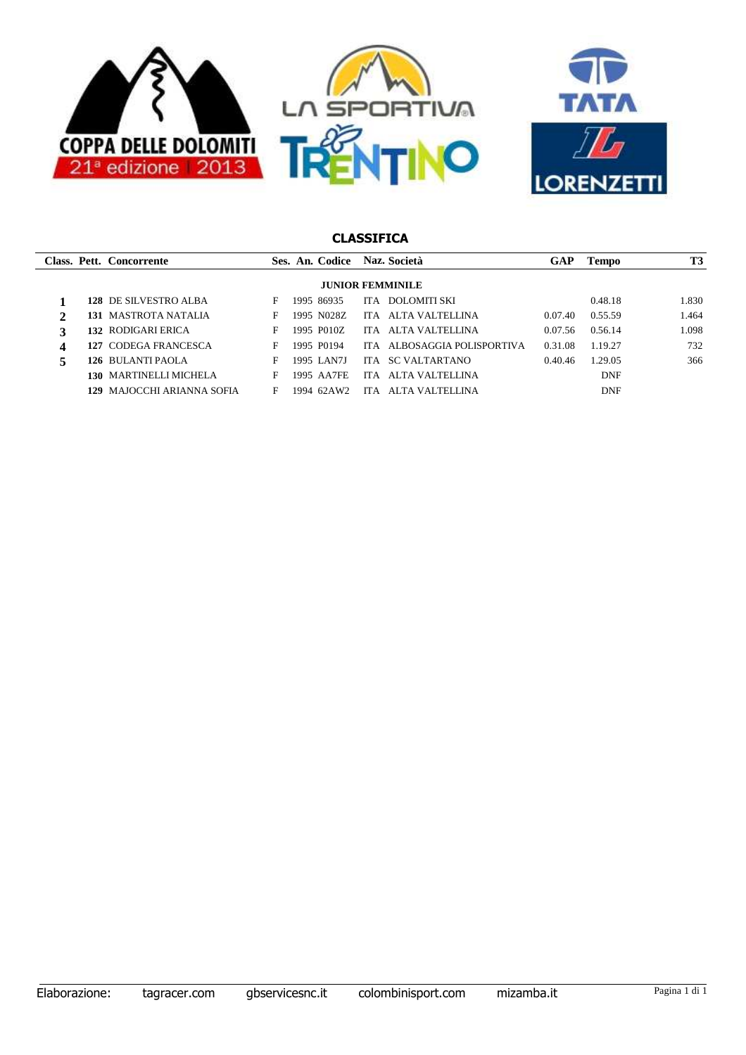



|   |                         | Class. Pett. Concorrente    |   |  | Ses. An. Codice |            | Naz. Società                | GAP     | Tempo      | <b>T3</b> |  |  |
|---|-------------------------|-----------------------------|---|--|-----------------|------------|-----------------------------|---------|------------|-----------|--|--|
|   | <b>JUNIOR FEMMINILE</b> |                             |   |  |                 |            |                             |         |            |           |  |  |
|   |                         | 128 DE SILVESTRO ALBA       | F |  | 1995 86935      |            | ITA DOLOMITI SKI            |         | 0.48.18    | 1.830     |  |  |
| 2 |                         | <b>131 MASTROTA NATALIA</b> | F |  | 1995 N028Z      |            | ITA ALTA VALTELLINA         | 0.07.40 | 0.55.59    | 1.464     |  |  |
| 3 |                         | <b>132 RODIGARI ERICA</b>   | F |  | 1995 P010Z      | <b>ITA</b> | ALTA VALTELLINA             | 0.07.56 | 0.56.14    | 1.098     |  |  |
| 4 |                         | 127 CODEGA FRANCESCA        | F |  | 1995 P0194      |            | ITA ALBOSAGGIA POLISPORTIVA | 0.31.08 | 1.19.27    | 732       |  |  |
| 5 |                         | <b>126 BULANTI PAOLA</b>    | F |  | 1995 LAN7J      |            | ITA SC VALTARTANO           | 0.40.46 | 1.29.05    | 366       |  |  |
|   |                         | 130 MARTINELLI MICHELA      | F |  | 1995 AA7FE      | ITA.       | ALTA VALTELLINA             |         | <b>DNF</b> |           |  |  |
|   |                         | 129 MAJOCCHI ARIANNA SOFIA  | F |  | 1994 62AW2      | ITA.       | ALTA VALTELLINA             |         | <b>DNF</b> |           |  |  |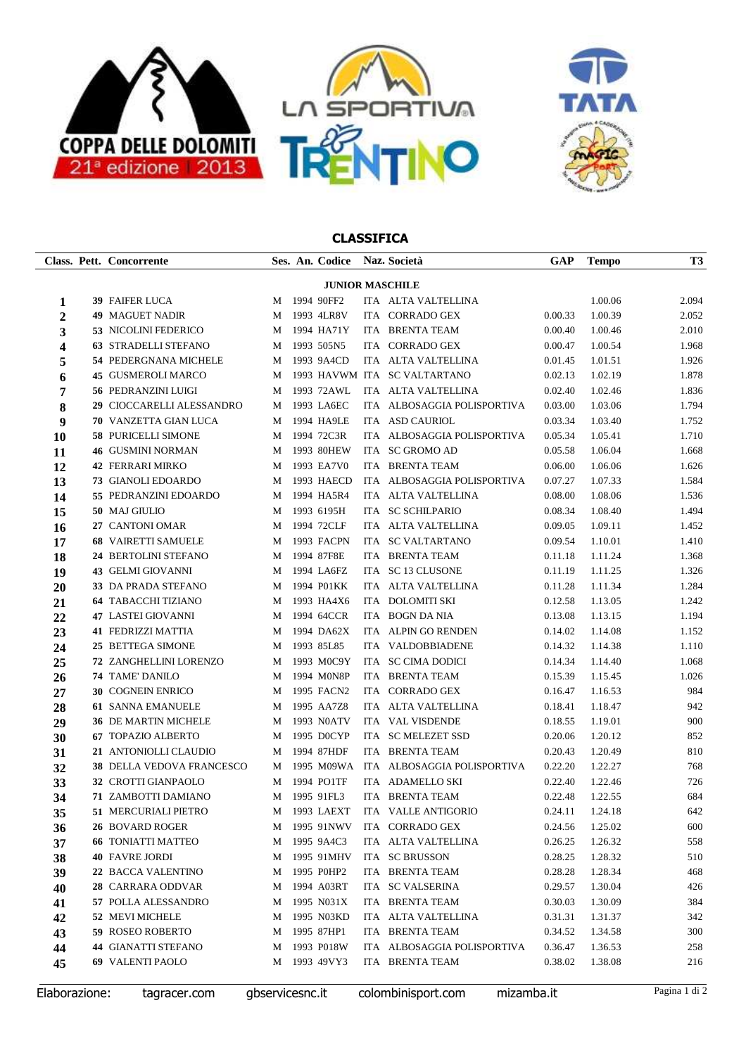



|                | Class. Pett. Concorrente                   |   | Ses. An. Codice Naz. Società |                                          | GAP                | <b>Tempo</b>       | T <sub>3</sub> |
|----------------|--------------------------------------------|---|------------------------------|------------------------------------------|--------------------|--------------------|----------------|
|                |                                            |   | <b>JUNIOR MASCHILE</b>       |                                          |                    |                    |                |
| 1              | <b>39 FAIFER LUCA</b>                      |   | M 1994 90FF2                 | ITA ALTA VALTELLINA                      |                    | 1.00.06            | 2.094          |
| $\overline{2}$ | <b>49 MAGUET NADIR</b>                     |   | M 1993 4LR8V                 | ITA CORRADO GEX                          | 0.00.33            | 1.00.39            | 2.052          |
| 3              | <b>53 NICOLINI FEDERICO</b>                |   | M 1994 HA71Y                 | ITA BRENTA TEAM                          | 0.00.40            | 1.00.46            | 2.010          |
| 4              | <b>63 STRADELLI STEFANO</b>                |   | M 1993 505N5                 | ITA CORRADO GEX                          | 0.00.47            | 1.00.54            | 1.968          |
| 5              | 54 PEDERGNANA MICHELE                      |   | M 1993 9A4CD                 | ITA ALTA VALTELLINA                      | 0.01.45            | 1.01.51            | 1.926          |
| 6              | 45 GUSMEROLI MARCO                         |   |                              | M 1993 HAVWM ITA SC VALTARTANO           | 0.02.13            | 1.02.19            | 1.878          |
| 7              | <b>56 PEDRANZINI LUIGI</b>                 |   | M 1993 72AWL                 | ITA ALTA VALTELLINA                      | 0.02.40            | 1.02.46            | 1.836          |
| 8              | 29 CIOCCARELLI ALESSANDRO                  |   | M 1993 LA6EC                 | ITA ALBOSAGGIA POLISPORTIVA              | 0.03.00            | 1.03.06            | 1.794          |
| 9              | <b>70 VANZETTA GIAN LUCA</b>               |   | M 1994 HA9LE                 | ITA ASD CAURIOL                          | 0.03.34            | 1.03.40            | 1.752          |
| 10             | <b>58 PURICELLI SIMONE</b>                 |   | M 1994 72C3R                 | ITA ALBOSAGGIA POLISPORTIVA              | 0.05.34            | 1.05.41            | 1.710          |
| 11             | <b>46 GUSMINI NORMAN</b>                   |   | M 1993 80HEW                 | ITA SC GROMO AD                          | 0.05.58            | 1.06.04            | 1.668          |
| 12             | <b>42 FERRARI MIRKO</b>                    |   | M 1993 EA7V0                 | ITA BRENTA TEAM                          | 0.06.00            | 1.06.06            | 1.626          |
| 13             | <b>73 GIANOLI EDOARDO</b>                  |   | M 1993 HAECD                 | ITA ALBOSAGGIA POLISPORTIVA              | 0.07.27            | 1.07.33            | 1.584          |
| 14             | 55 PEDRANZINI EDOARDO                      |   | M 1994 HA5R4                 | ITA ALTA VALTELLINA                      | 0.08.00            | 1.08.06            | 1.536          |
| 15             | 50 MAJ GIULIO                              |   | M 1993 6195H                 | ITA SC SCHILPARIO                        | 0.08.34            | 1.08.40            | 1.494          |
| 16             | 27 CANTONI OMAR                            |   | M 1994 72CLF                 | ITA ALTA VALTELLINA                      | 0.09.05            | 1.09.11            | 1.452          |
| 17             | <b>68 VAIRETTI SAMUELE</b>                 |   | M 1993 FACPN                 | ITA SC VALTARTANO                        | 0.09.54            | 1.10.01            | 1.410          |
| 18             | 24 BERTOLINI STEFANO                       |   | M 1994 87F8E                 | ITA BRENTA TEAM                          | 0.11.18            | 1.11.24            | 1.368          |
| 19             | <b>43 GELMI GIOVANNI</b>                   |   | M 1994 LA6FZ                 | ITA SC 13 CLUSONE                        | 0.11.19            | 1.11.25            | 1.326          |
| 20             | 33 DA PRADA STEFANO                        |   | M 1994 P01KK                 | ITA ALTA VALTELLINA                      | 0.11.28            | 1.11.34            | 1.284          |
| 21             | <b>64 TABACCHI TIZIANO</b>                 |   | M 1993 HA4X6                 | ITA DOLOMITI SKI                         | 0.12.58            | 1.13.05            | 1.242          |
| 22             | <b>47 LASTEI GIOVANNI</b>                  |   | M 1994 64CCR                 | ITA BOGN DA NIA                          | 0.13.08            | 1.13.15            | 1.194          |
| 23             | <b>41 FEDRIZZI MATTIA</b>                  |   | M 1994 DA62X                 | ITA ALPIN GO RENDEN                      | 0.14.02            | 1.14.08            | 1.152          |
| 24             | 25 BETTEGA SIMONE                          | M | 1993 85L85                   | ITA VALDOBBIADENE                        | 0.14.32            | 1.14.38            | 1.110          |
| 25             | 72 ZANGHELLINI LORENZO                     |   | M 1993 M0C9Y                 | ITA SC CIMA DODICI                       | 0.14.34            | 1.14.40            | 1.068          |
| 26             | <b>74 TAME DANILO</b>                      |   | M 1994 M0N8P                 | ITA BRENTA TEAM                          | 0.15.39            | 1.15.45            | 1.026          |
| 27             | 30 COGNEIN ENRICO                          |   | M 1995 FACN2                 | ITA CORRADO GEX                          | 0.16.47            | 1.16.53            | 984            |
| 28             | <b>61 SANNA EMANUELE</b>                   |   | M 1995 AA7Z8                 | ITA ALTA VALTELLINA                      | 0.18.41            | 1.18.47            | 942            |
| 29             | 36 DE MARTIN MICHELE                       |   | M 1993 N0ATV                 | ITA VAL VISDENDE                         | 0.18.55            | 1.19.01            | 900            |
| 30             | 67 TOPAZIO ALBERTO                         |   | M 1995 DOCYP                 | ITA SC MELEZET SSD                       | 0.20.06            | 1.20.12            | 852            |
| 31             | 21 ANTONIOLLI CLAUDIO                      |   | M 1994 87HDF                 | ITA BRENTA TEAM                          | 0.20.43            | 1.20.49            | 810            |
| 32             | 38 DELLA VEDOVA FRANCESCO                  |   |                              | M 1995 M09WA ITA ALBOSAGGIA POLISPORTIVA | 0.22.20            | 1.22.27            | 768            |
| 33             | 32 CROTTI GIANPAOLO<br>71 ZAMBOTTI DAMIANO |   | M 1994 PO1TF<br>M 1995 91FL3 | ITA ADAMELLO SKI<br>ITA BRENTA TEAM      | 0.22.40<br>0.22.48 | 1.22.46<br>1.22.55 | 726<br>684     |
| 34             | 51 MERCURIALI PIETRO                       |   |                              | M 1993 LAEXT ITA VALLE ANTIGORIO         |                    | $0.24.11$ 1.24.18  | 642            |
| 35             | 26 BOVARD ROGER                            | M | 1995 91NWV                   | ITA CORRADO GEX                          | 0.24.56            | 1.25.02            | 600            |
| 36<br>37       | <b>66 TONIATTI MATTEO</b>                  | M | 1995 9A4C3                   | ITA ALTA VALTELLINA                      | 0.26.25            | 1.26.32            | 558            |
| 38             | <b>40 FAVRE JORDI</b>                      | M | 1995 91MHV                   | ITA SC BRUSSON                           | 0.28.25            | 1.28.32            | 510            |
| 39             | 22 BACCA VALENTINO                         | M | 1995 P0HP2                   | ITA BRENTA TEAM                          | 0.28.28            | 1.28.34            | 468            |
| 40             | 28 CARRARA ODDVAR                          | M | 1994 A03RT                   | ITA SC VALSERINA                         | 0.29.57            | 1.30.04            | 426            |
| 41             | 57 POLLA ALESSANDRO                        | M | 1995 N031X                   | ITA BRENTA TEAM                          | 0.30.03            | 1.30.09            | 384            |
| 42             | 52 MEVI MICHELE                            | M | 1995 N03KD                   | ITA ALTA VALTELLINA                      | 0.31.31            | 1.31.37            | 342            |
| 43             | 59 ROSEO ROBERTO                           | M | 1995 87HP1                   | ITA BRENTA TEAM                          | 0.34.52            | 1.34.58            | 300            |
| 44             | <b>44 GIANATTI STEFANO</b>                 | M | 1993 P018W                   | ITA ALBOSAGGIA POLISPORTIVA              | 0.36.47            | 1.36.53            | 258            |
| 45             | 69 VALENTI PAOLO                           | M | 1993 49VY3                   | ITA BRENTA TEAM                          | 0.38.02            | 1.38.08            | 216            |
|                |                                            |   |                              |                                          |                    |                    |                |

Elaborazione: tagracer.com gbservicesnc.it colombinisport.com mizamba.it Pagina 1 di 2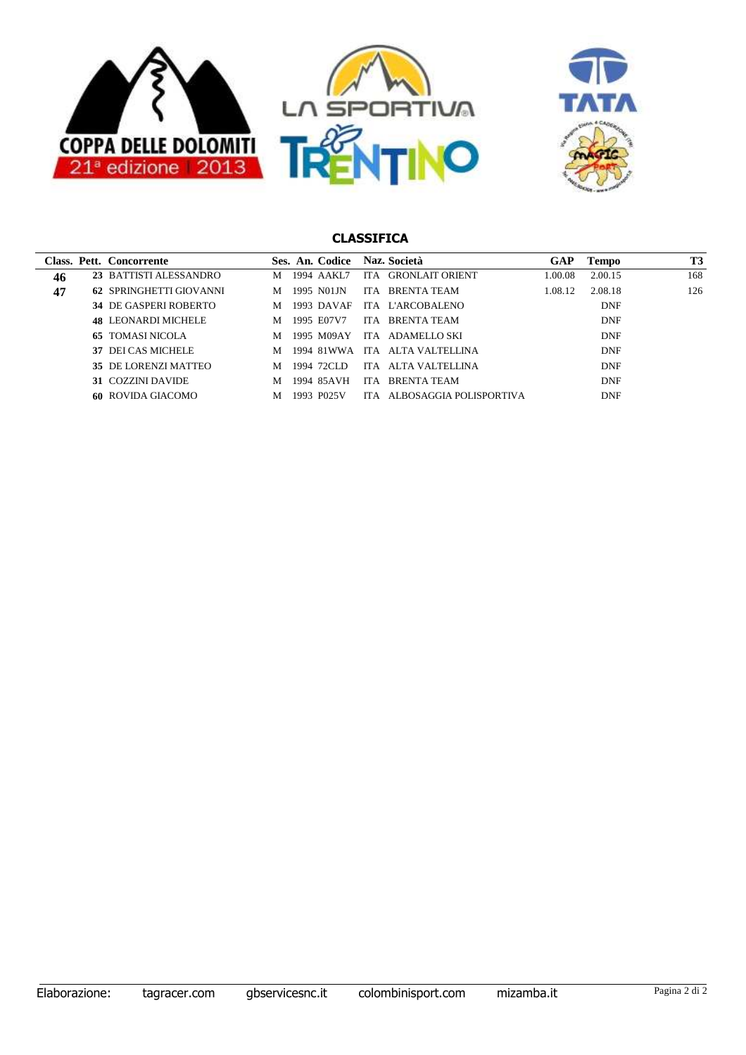



|    | Class. Pett. Concorrente   |   |      | Ses. An. Codice |      | Naz. Società            | GAP     | Tempo      | T3  |
|----|----------------------------|---|------|-----------------|------|-------------------------|---------|------------|-----|
| 46 | 23 BATTISTI ALESSANDRO     | м |      | 1994 AAKL7      | ITA. | <b>GRONLAIT ORIENT</b>  | 1.00.08 | 2.00.15    | 168 |
| 47 | 62 SPRINGHETTI GIOVANNI    | M |      | 1995 N01JN      |      | ITA BRENTA TEAM         | 1.08.12 | 2.08.18    | 126 |
|    | 34 DE GASPERI ROBERTO      | M |      | 1993 DAVAF      |      | ITA L'ARCOBALENO        |         | <b>DNF</b> |     |
|    | <b>48 LEONARDI MICHELE</b> | M |      | 1995 E07V7      | ITA. | BRENTA TEAM             |         | <b>DNF</b> |     |
|    | <b>65 TOMASI NICOLA</b>    | M |      | 1995 M09AY      | ITA. | ADAMELLO SKI            |         | <b>DNF</b> |     |
|    | 37 DEI CAS MICHELE         | м |      | 1994 81WWA      | ITA  | ALTA VALTELLINA         |         | <b>DNF</b> |     |
|    | 35 DE LORENZI MATTEO       | м |      | 1994–72CLD      | ITA. | ALTA VALTELLINA         |         | <b>DNF</b> |     |
|    | 31 COZZINI DAVIDE          | M |      | 1994 85AVH      | ITA. | <b>BRENTA TEAM</b>      |         | <b>DNF</b> |     |
|    | <b>60 ROVIDA GIACOMO</b>   | M | 1993 | P025V           | IT A | ALBOSAGGIA POLISPORTIVA |         | <b>DNF</b> |     |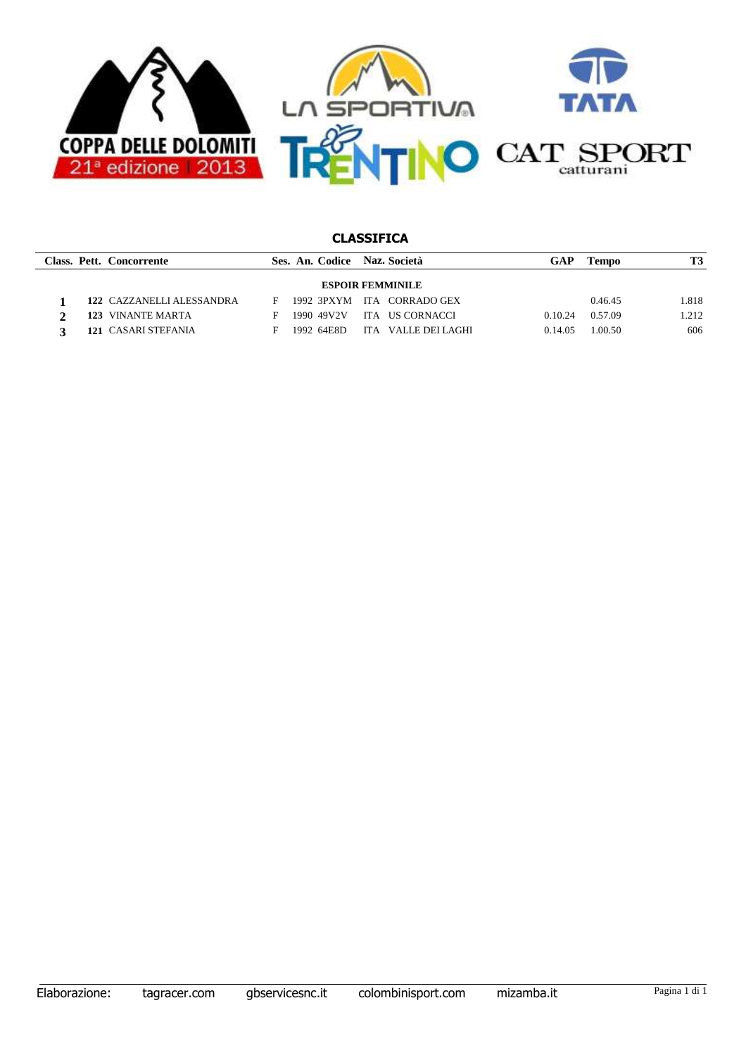

|                         | Class. Pett. Concorrente  |    |  | Ses. An. Codice Naz. Società |  |                    | GAP     | Tempo   | T3    |  |
|-------------------------|---------------------------|----|--|------------------------------|--|--------------------|---------|---------|-------|--|
| <b>ESPOIR FEMMINILE</b> |                           |    |  |                              |  |                    |         |         |       |  |
|                         | 122 CAZZANELLI ALESSANDRA | F  |  | 1992 3PXYM                   |  | ITA CORRADO GEX    |         | 0.46.45 | 1.818 |  |
|                         | 123 VINANTE MARTA         | H. |  | 1990 49V2V                   |  | ITA US CORNACCI    | 0.10.24 | 0.57.09 | 1.212 |  |
|                         | 121 CASARI STEFANIA       | н  |  | 1992 64E8D                   |  | ITA VALLE DELLAGHI | 0.14.05 | 1.00.50 | 606   |  |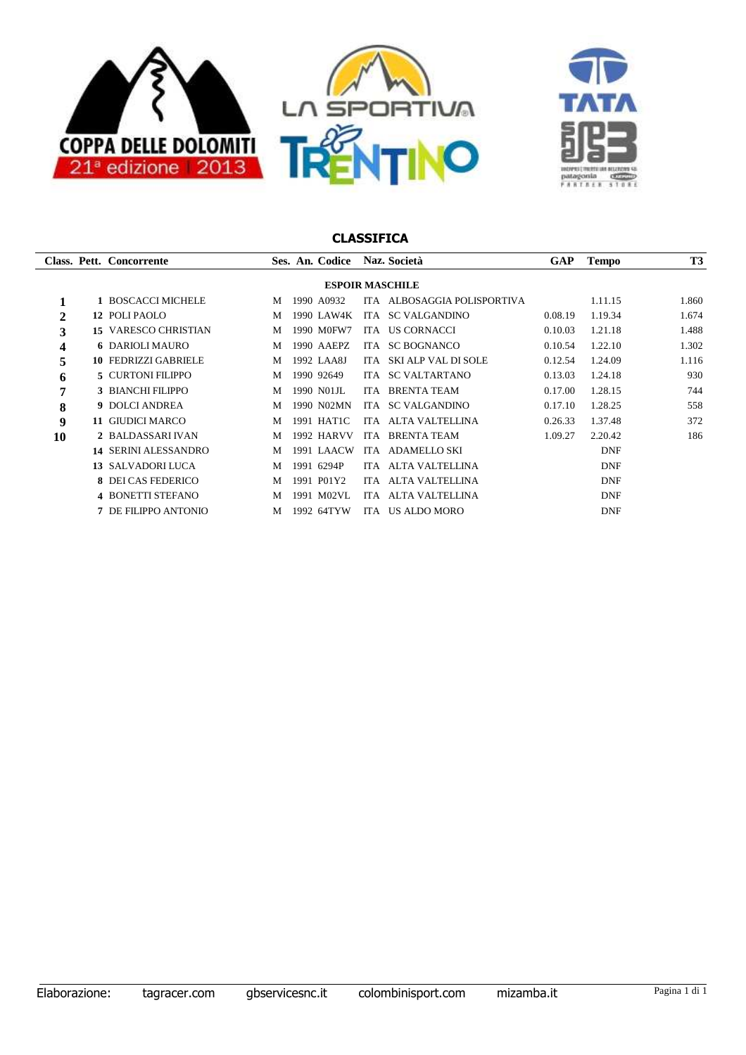



|    |                        | Class. Pett. Concorrente    |   | Ses. An. Codice   |            | Naz. Società            | <b>GAP</b> | <b>Tempo</b> | <b>T3</b> |  |  |  |
|----|------------------------|-----------------------------|---|-------------------|------------|-------------------------|------------|--------------|-----------|--|--|--|
|    | <b>ESPOIR MASCHILE</b> |                             |   |                   |            |                         |            |              |           |  |  |  |
|    |                        | 1 BOSCACCI MICHELE          | M | 1990 A0932        | <b>ITA</b> | ALBOSAGGIA POLISPORTIVA |            | 1.11.15      | 1.860     |  |  |  |
| 2  |                        | 12 POLI PAOLO               | M | 1990 LAW4K        | ITA        | <b>SC VALGANDINO</b>    | 0.08.19    | 1.19.34      | 1.674     |  |  |  |
| 3  |                        | <b>15 VARESCO CHRISTIAN</b> | M | 1990 M0FW7        | ITA        | US CORNACCI             | 0.10.03    | 1.21.18      | 1.488     |  |  |  |
| 4  |                        | <b>6 DARIOLI MAURO</b>      | M | 1990 AAEPZ        | ITA -      | <b>SC BOGNANCO</b>      | 0.10.54    | 1.22.10      | 1.302     |  |  |  |
| 5  |                        | <b>10 FEDRIZZI GABRIELE</b> | M | 1992 LAA8J        | ITA.       | SKI ALP VAL DI SOLE     | 0.12.54    | 1.24.09      | 1.116     |  |  |  |
| 6  |                        | <b>5 CURTONI FILIPPO</b>    | M | 1990 92649        | ITA        | <b>SC VALTARTANO</b>    | 0.13.03    | 1.24.18      | 930       |  |  |  |
| 7  |                        | 3 BIANCHI FILIPPO           | M | 1990 NO1JL        |            | ITA BRENTA TEAM         | 0.17.00    | 1.28.15      | 744       |  |  |  |
| 8  |                        | <b>9 DOLCI ANDREA</b>       | M | 1990 N02MN        | <b>ITA</b> | <b>SC VALGANDINO</b>    | 0.17.10    | 1.28.25      | 558       |  |  |  |
| 9  |                        | 11 GIUDICI MARCO            | M | 1991 HAT1C        | ITA.       | ALTA VALTELLINA         | 0.26.33    | 1.37.48      | 372       |  |  |  |
| 10 |                        | 2 BALDASSARI IVAN           | M | <b>1992 HARVV</b> | <b>ITA</b> | <b>BRENTA TEAM</b>      | 1.09.27    | 2.20.42      | 186       |  |  |  |
|    |                        | <b>14 SERINI ALESSANDRO</b> | M | 1991 LAACW        | ITA.       | <b>ADAMELLO SKI</b>     |            | <b>DNF</b>   |           |  |  |  |
|    |                        | 13 SALVADORI LUCA           | M | 1991 6294P        | ITA.       | ALTA VALTELLINA         |            | <b>DNF</b>   |           |  |  |  |
|    |                        | 8 DEI CAS FEDERICO          | M | 1991 P01Y2        | ITA.       | ALTA VALTELLINA         |            | <b>DNF</b>   |           |  |  |  |
|    |                        | <b>4 BONETTI STEFANO</b>    | M | M02VL<br>1991     | ITA.       | ALTA VALTELLINA         |            | <b>DNF</b>   |           |  |  |  |
|    |                        | 7 DE FILIPPO ANTONIO        | M | 1992 64TYW        | ITA.       | <b>US ALDO MORO</b>     |            | <b>DNF</b>   |           |  |  |  |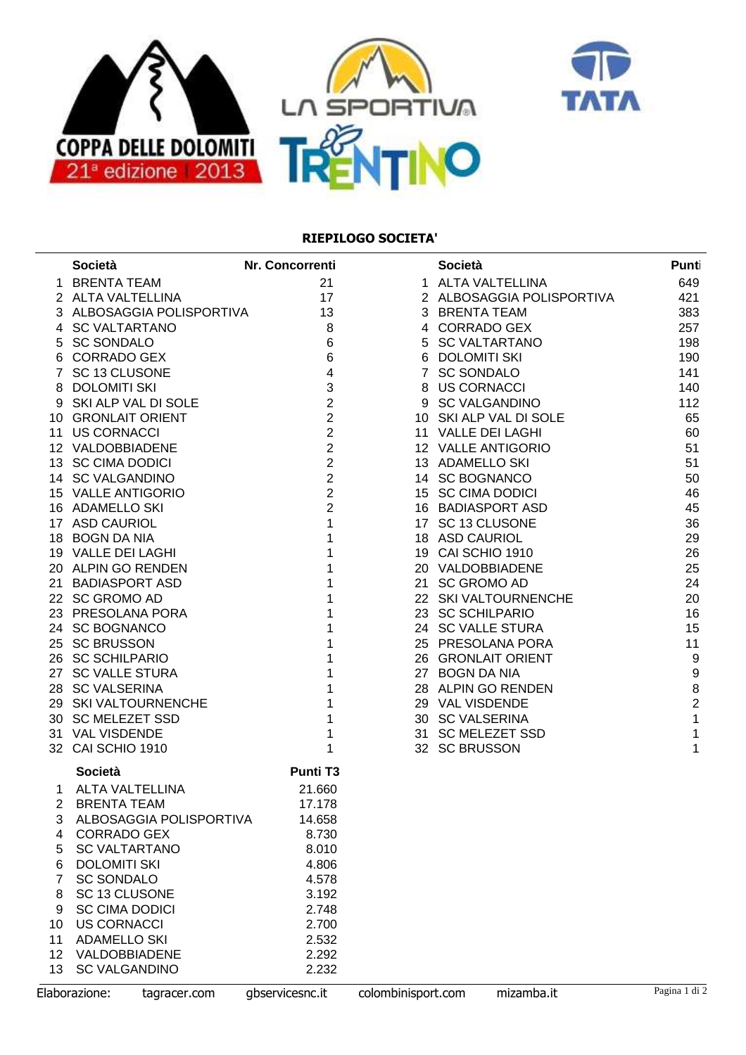



### **RIEPILOGO SOCIETA'**

|    | <b>Società</b>                | Nr. Concorrenti         |                    | <b>Società</b>            | Punt             |
|----|-------------------------------|-------------------------|--------------------|---------------------------|------------------|
|    | 1 BRENTA TEAM                 | 21                      |                    | 1 ALTA VALTELLINA         | 649              |
|    | 2 ALTA VALTELLINA             | 17                      |                    | 2 ALBOSAGGIA POLISPORTIVA | 421              |
|    | 3 ALBOSAGGIA POLISPORTIVA     | 13                      |                    | 3 BRENTA TEAM             | 383              |
|    | 4 SC VALTARTANO               | 8                       |                    | 4 CORRADO GEX             | 257              |
|    | 5 SC SONDALO                  | $\,6\,$                 |                    | 5 SC VALTARTANO           | 198              |
|    | 6 CORRADO GEX                 | $\,6\,$                 |                    | 6 DOLOMITI SKI            | 190              |
|    | 7 SC 13 CLUSONE               | $\overline{\mathbf{4}}$ |                    | 7 SC SONDALO              | 141              |
|    | 8 DOLOMITI SKI                | 3                       |                    | 8 US CORNACCI             | 140              |
|    | 9 SKI ALP VAL DI SOLE         | $\overline{2}$          |                    | 9 SC VALGANDINO           | 112              |
|    | 10 GRONLAIT ORIENT            | $\overline{2}$          |                    | 10 SKI ALP VAL DI SOLE    | 65               |
|    | 11 US CORNACCI                | $\overline{2}$          |                    | 11 VALLE DEI LAGHI        | 60               |
|    | 12 VALDOBBIADENE              | $\overline{2}$          |                    | 12 VALLE ANTIGORIO        | 51               |
|    | 13 SC CIMA DODICI             | $\overline{2}$          |                    | 13 ADAMELLO SKI           | 51               |
|    | 14 SC VALGANDINO              | $\overline{2}$          |                    | 14 SC BOGNANCO            | 50               |
|    | 15 VALLE ANTIGORIO            | $\overline{2}$          |                    | 15 SC CIMA DODICI         | 46               |
|    | 16 ADAMELLO SKI               | $\overline{2}$          |                    | 16 BADIASPORT ASD         | 45               |
|    | 17 ASD CAURIOL                | $\mathbf{1}$            |                    | 17 SC 13 CLUSONE          | 36               |
|    | 18 BOGN DA NIA                | 1                       |                    | 18 ASD CAURIOL            | 29               |
|    | 19 VALLE DEI LAGHI            | 1                       |                    | 19 CAI SCHIO 1910         | 26               |
|    | 20 ALPIN GO RENDEN            | 1                       |                    | 20 VALDOBBIADENE          | 25               |
|    | 21 BADIASPORT ASD             |                         |                    | 21 SC GROMO AD            | 24               |
|    | 22 SC GROMO AD                |                         |                    | 22 SKI VALTOURNENCHE      | 20               |
|    | 23 PRESOLANA PORA             |                         |                    | 23 SC SCHILPARIO          | 16               |
|    | 24 SC BOGNANCO                |                         |                    | 24 SC VALLE STURA         | 15               |
|    | 25 SC BRUSSON                 |                         |                    | 25 PRESOLANA PORA         | 11               |
|    | 26 SC SCHILPARIO              |                         |                    | 26 GRONLAIT ORIENT        | $\boldsymbol{9}$ |
|    | 27 SC VALLE STURA             |                         |                    | 27 BOGN DA NIA            | $\boldsymbol{9}$ |
|    | 28 SC VALSERINA               |                         |                    | 28 ALPIN GO RENDEN        | $\bf 8$          |
|    | 29 SKI VALTOURNENCHE          | 1                       |                    | 29 VAL VISDENDE           | $\overline{2}$   |
|    | 30 SC MELEZET SSD             | 1                       |                    | 30 SC VALSERINA           | $\mathbf 1$      |
|    | 31 VAL VISDENDE               | 1                       |                    | 31 SC MELEZET SSD         | $\mathbf 1$      |
|    | 32 CAI SCHIO 1910             | 1                       |                    | 32 SC BRUSSON             | 1                |
|    |                               |                         |                    |                           |                  |
|    | Società                       | <b>Punti T3</b>         |                    |                           |                  |
| 1  | ALTA VALTELLINA               | 21.660                  |                    |                           |                  |
| 2  | <b>BRENTA TEAM</b>            | 17.178                  |                    |                           |                  |
| 3  | ALBOSAGGIA POLISPORTIVA       | 14.658                  |                    |                           |                  |
| 4  | <b>CORRADO GEX</b>            | 8.730                   |                    |                           |                  |
| 5  | <b>SC VALTARTANO</b>          | 8.010                   |                    |                           |                  |
| 6  | <b>DOLOMITI SKI</b>           | 4.806                   |                    |                           |                  |
| 7  | <b>SC SONDALO</b>             | 4.578                   |                    |                           |                  |
| 8  | SC 13 CLUSONE                 | 3.192                   |                    |                           |                  |
| 9  | <b>SC CIMA DODICI</b>         | 2.748                   |                    |                           |                  |
| 10 | <b>US CORNACCI</b>            | 2.700                   |                    |                           |                  |
| 11 | <b>ADAMELLO SKI</b>           | 2.532                   |                    |                           |                  |
| 12 | VALDOBBIADENE                 | 2.292                   |                    |                           |                  |
| 13 | <b>SC VALGANDINO</b>          | 2.232                   |                    |                           |                  |
|    | Elaborazione:<br>tagracer.com | gbservicesnc.it         | colombinisport.com | mizamba.it                | Pagina 1 di 2    |